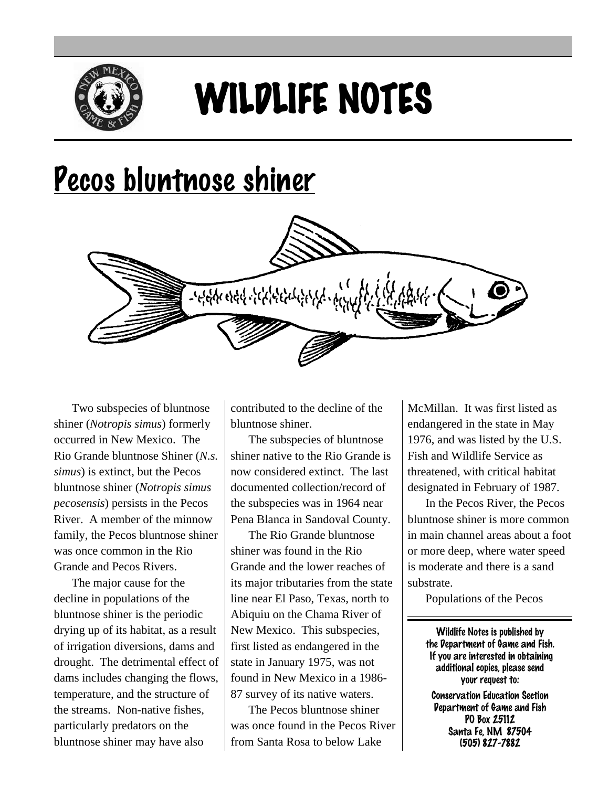

## WILDLIFE NOTES

## Pecos bluntnose shiner



Two subspecies of bluntnose shiner (*Notropis simus*) formerly occurred in New Mexico. The Rio Grande bluntnose Shiner (*N.s. simus*) is extinct, but the Pecos bluntnose shiner (*Notropis simus pecosensis*) persists in the Pecos River. A member of the minnow family, the Pecos bluntnose shiner was once common in the Rio Grande and Pecos Rivers.

The major cause for the decline in populations of the bluntnose shiner is the periodic drying up of its habitat, as a result of irrigation diversions, dams and drought. The detrimental effect of dams includes changing the flows, temperature, and the structure of the streams. Non-native fishes, particularly predators on the bluntnose shiner may have also

contributed to the decline of the bluntnose shiner.

The subspecies of bluntnose shiner native to the Rio Grande is now considered extinct. The last documented collection/record of the subspecies was in 1964 near Pena Blanca in Sandoval County.

The Rio Grande bluntnose shiner was found in the Rio Grande and the lower reaches of its major tributaries from the state line near El Paso, Texas, north to Abiquiu on the Chama River of New Mexico. This subspecies, first listed as endangered in the state in January 1975, was not found in New Mexico in a 1986- 87 survey of its native waters.

The Pecos bluntnose shiner was once found in the Pecos River from Santa Rosa to below Lake

McMillan. It was first listed as endangered in the state in May 1976, and was listed by the U.S. Fish and Wildlife Service as threatened, with critical habitat designated in February of 1987.

In the Pecos River, the Pecos bluntnose shiner is more common in main channel areas about a foot or more deep, where water speed is moderate and there is a sand substrate.

Populations of the Pecos

Wildlife Notes is published by the Department of Game and Fish. If you are interested in obtaining additional copies, please send your request to:

Conservation Education Section Department of Game and Fish PO Box 25112 Santa Fe, NM 87504 (505) 827-7882